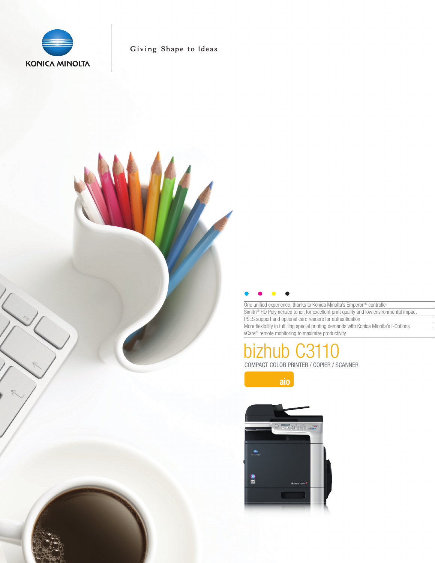

Giving Shape to Ideas



One unified experience, thanks to Konica Minolta's Emperon® controller Simitri® HD Polymerized toner, for excellent print quality and low environmental impact PSES support and optional card readers for authentication More flexibility in fulfilling special printing demands with Konica Minolta's i-Options vCare® remote monitoring to maximize productivity

# COMPACT COLOR PRINTER / COPIER / SCANNER bizhub C3110